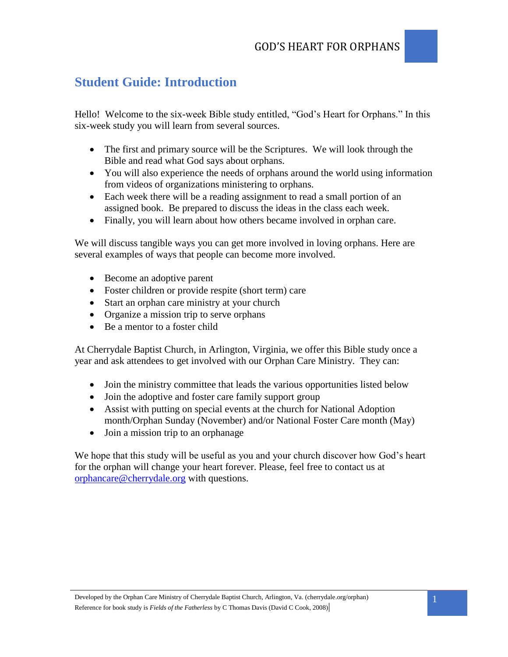# **Student Guide: Introduction**

Hello! Welcome to the six-week Bible study entitled, "God's Heart for Orphans." In this six-week study you will learn from several sources.

- The first and primary source will be the Scriptures. We will look through the Bible and read what God says about orphans.
- You will also experience the needs of orphans around the world using information from videos of organizations ministering to orphans.
- Each week there will be a reading assignment to read a small portion of an assigned book. Be prepared to discuss the ideas in the class each week.
- Finally, you will learn about how others became involved in orphan care.

We will discuss tangible ways you can get more involved in loving orphans. Here are several examples of ways that people can become more involved.

- Become an adoptive parent
- Foster children or provide respite (short term) care
- Start an orphan care ministry at your church
- Organize a mission trip to serve orphans
- Be a mentor to a foster child

At Cherrydale Baptist Church, in Arlington, Virginia, we offer this Bible study once a year and ask attendees to get involved with our Orphan Care Ministry. They can:

- Join the ministry committee that leads the various opportunities listed below
- Join the adoptive and foster care family support group
- Assist with putting on special events at the church for National Adoption month/Orphan Sunday (November) and/or National Foster Care month (May)
- Join a mission trip to an orphanage

We hope that this study will be useful as you and your church discover how God's heart for the orphan will change your heart forever. Please, feel free to contact us at [orphancare@cherrydale.org](mailto:orphancare@cherrydale.org) with questions.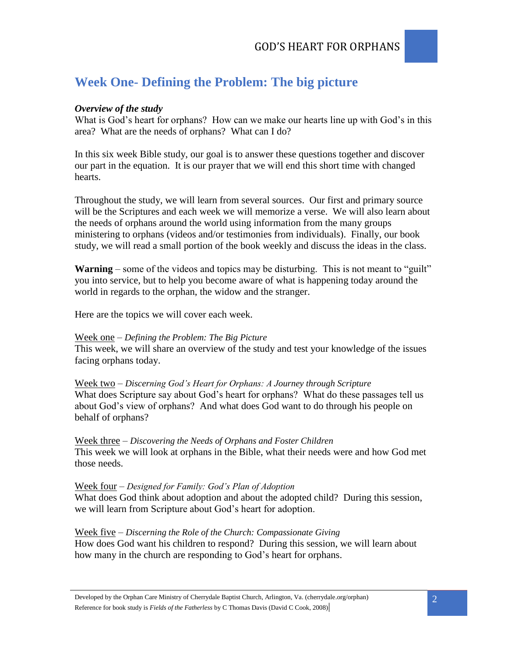# **Week One- Defining the Problem: The big picture**

## *Overview of the study*

What is God's heart for orphans? How can we make our hearts line up with God's in this area? What are the needs of orphans? What can I do?

In this six week Bible study, our goal is to answer these questions together and discover our part in the equation. It is our prayer that we will end this short time with changed hearts.

Throughout the study, we will learn from several sources. Our first and primary source will be the Scriptures and each week we will memorize a verse. We will also learn about the needs of orphans around the world using information from the many groups ministering to orphans (videos and/or testimonies from individuals). Finally, our book study, we will read a small portion of the book weekly and discuss the ideas in the class.

**Warning** – some of the videos and topics may be disturbing. This is not meant to "guilt" you into service, but to help you become aware of what is happening today around the world in regards to the orphan, the widow and the stranger.

Here are the topics we will cover each week.

### Week one *– Defining the Problem: The Big Picture*

This week, we will share an overview of the study and test your knowledge of the issues facing orphans today.

Week two *– Discerning God's Heart for Orphans: A Journey through Scripture* What does Scripture say about God's heart for orphans? What do these passages tell us about God's view of orphans? And what does God want to do through his people on behalf of orphans?

Week three *– Discovering the Needs of Orphans and Foster Children* This week we will look at orphans in the Bible, what their needs were and how God met those needs.

### Week four *– Designed for Family: God's Plan of Adoption*

What does God think about adoption and about the adopted child? During this session, we will learn from Scripture about God's heart for adoption.

## Week five *– Discerning the Role of the Church: Compassionate Giving*

How does God want his children to respond? During this session, we will learn about how many in the church are responding to God's heart for orphans.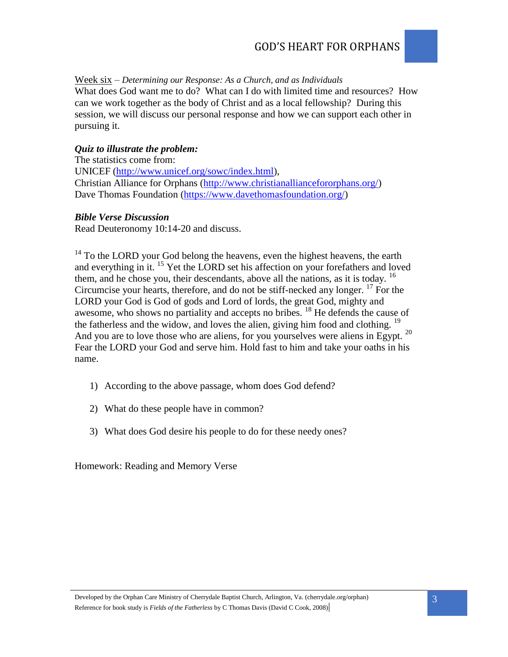Week six *– Determining our Response: As a Church, and as Individuals*

What does God want me to do? What can I do with limited time and resources? How can we work together as the body of Christ and as a local fellowship? During this session, we will discuss our personal response and how we can support each other in pursuing it.

# *Quiz to illustrate the problem:*

The statistics come from: UNICEF [\(http://www.unicef.org/sowc/index.html\)](http://www.unicef.org/sowc/index.html), Christian Alliance for Orphans [\(http://www.christianalliancefororphans.org/\)](http://www.christianalliancefororphans.org/) Dave Thomas Foundation [\(https://www.davethomasfoundation.org/\)](https://www.davethomasfoundation.org/)

## *Bible Verse Discussion*

Read Deuteronomy 10:14-20 and discuss.

<sup>14</sup> To the LORD your God belong the heavens, even the highest heavens, the earth and everything in it. <sup>15</sup> Yet the LORD set his affection on your forefathers and loved them, and he chose you, their descendants, above all the nations, as it is today. <sup>16</sup> Circumcise your hearts, therefore, and do not be stiff-necked any longer. <sup>17</sup> For the LORD your God is God of gods and Lord of lords, the great God, mighty and awesome, who shows no partiality and accepts no bribes.<sup>18</sup> He defends the cause of the fatherless and the widow, and loves the alien, giving him food and clothing. <sup>19</sup> And you are to love those who are aliens, for you yourselves were aliens in Egypt.<sup>20</sup> Fear the LORD your God and serve him. Hold fast to him and take your oaths in his name.

- 1) According to the above passage, whom does God defend?
- 2) What do these people have in common?
- 3) What does God desire his people to do for these needy ones?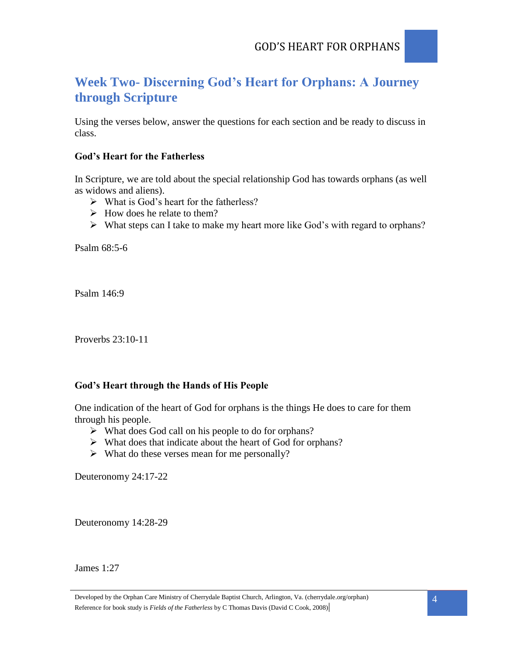# **Week Two- Discerning God's Heart for Orphans: A Journey through Scripture**

Using the verses below, answer the questions for each section and be ready to discuss in class.

# **God's Heart for the Fatherless**

In Scripture, we are told about the special relationship God has towards orphans (as well as widows and aliens).

- $\triangleright$  What is God's heart for the fatherless?
- $\triangleright$  How does he relate to them?
- $\triangleright$  What steps can I take to make my heart more like God's with regard to orphans?

Psalm 68:5-6

Psalm 146:9

Proverbs 23:10-11

# **God's Heart through the Hands of His People**

One indication of the heart of God for orphans is the things He does to care for them through his people.

- $\triangleright$  What does God call on his people to do for orphans?
- What does that indicate about the heart of God for orphans?
- $\triangleright$  What do these verses mean for me personally?

Deuteronomy 24:17-22

Deuteronomy 14:28-29

James 1:27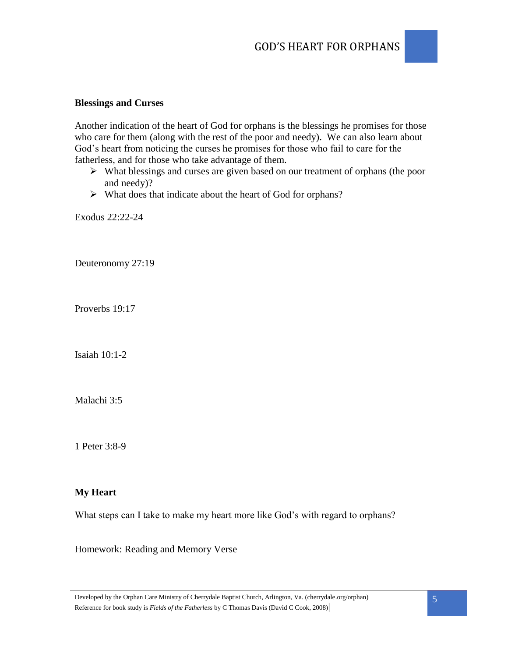### **Blessings and Curses**

Another indication of the heart of God for orphans is the blessings he promises for those who care for them (along with the rest of the poor and needy). We can also learn about God's heart from noticing the curses he promises for those who fail to care for the fatherless, and for those who take advantage of them.

- What blessings and curses are given based on our treatment of orphans (the poor and needy)?
- $\triangleright$  What does that indicate about the heart of God for orphans?

Exodus 22:22-24

Deuteronomy 27:19

Proverbs 19:17

Isaiah 10:1-2

Malachi 3:5

1 Peter 3:8-9

### **My Heart**

What steps can I take to make my heart more like God's with regard to orphans?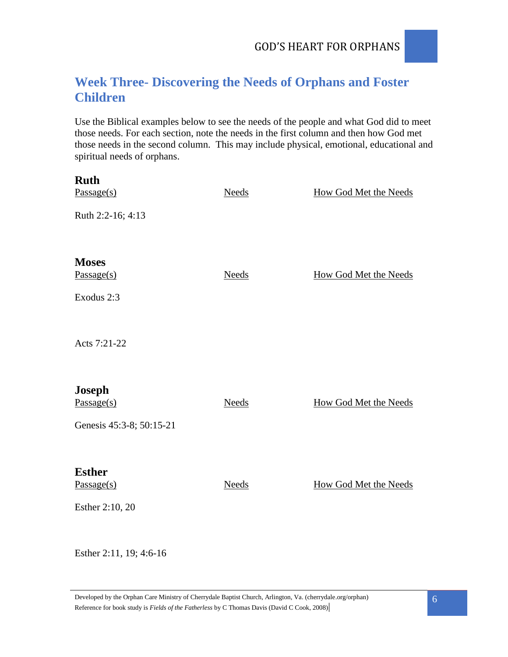# **Week Three- Discovering the Needs of Orphans and Foster Children**

Use the Biblical examples below to see the needs of the people and what God did to meet those needs. For each section, note the needs in the first column and then how God met those needs in the second column. This may include physical, emotional, educational and spiritual needs of orphans.

| <b>Ruth</b><br>Passage(s) | <b>Needs</b> | <b>How God Met the Needs</b> |
|---------------------------|--------------|------------------------------|
| Ruth 2:2-16; 4:13         |              |                              |
|                           |              |                              |
| <b>Moses</b>              |              |                              |
| Passage(s)                | <b>Needs</b> | How God Met the Needs        |
| Exodus 2:3                |              |                              |
| Acts 7:21-22              |              |                              |
| <b>Joseph</b>             |              |                              |
| Passage(s)                | <b>Needs</b> | <b>How God Met the Needs</b> |
| Genesis 45:3-8; 50:15-21  |              |                              |
| <b>Esther</b>             |              |                              |
| Passage(s)                | <b>Needs</b> | <b>How God Met the Needs</b> |
| Esther 2:10, 20           |              |                              |
|                           |              |                              |

Esther 2:11, 19; 4:6-16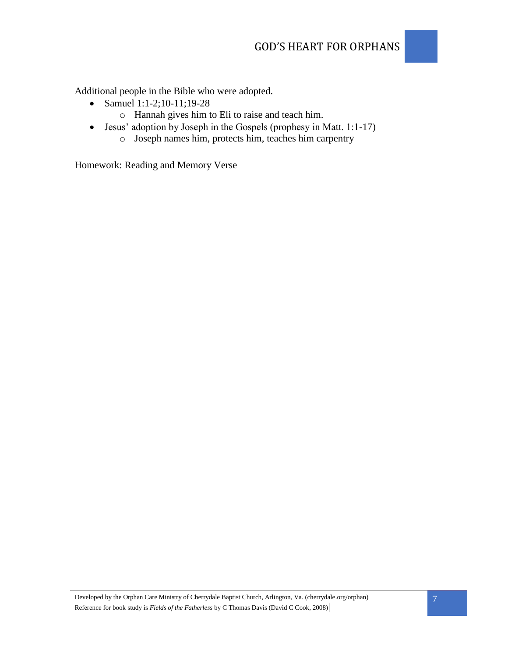Additional people in the Bible who were adopted.

- Samuel 1:1-2;10-11;19-28
	- o Hannah gives him to Eli to raise and teach him.
- Jesus' adoption by Joseph in the Gospels (prophesy in Matt. 1:1-17)
	- o Joseph names him, protects him, teaches him carpentry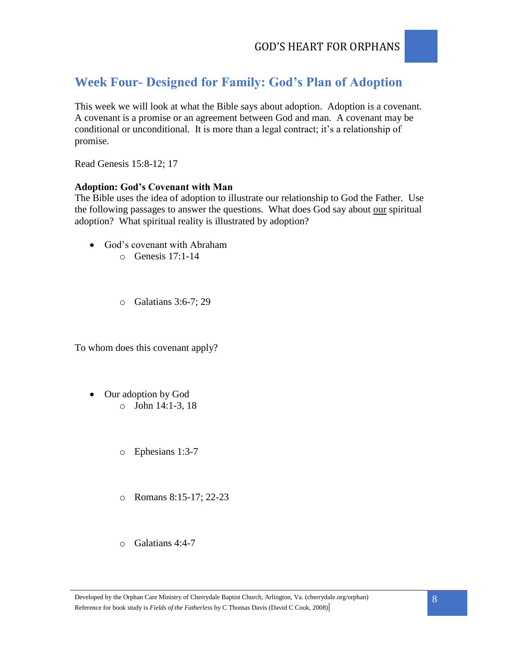# **Week Four- Designed for Family: God's Plan of Adoption**

This week we will look at what the Bible says about adoption. Adoption is a covenant. A covenant is a promise or an agreement between God and man. A covenant may be conditional or unconditional. It is more than a legal contract; it's a relationship of promise.

Read Genesis 15:8-12; 17

## **Adoption: God's Covenant with Man**

The Bible uses the idea of adoption to illustrate our relationship to God the Father. Use the following passages to answer the questions. What does God say about our spiritual adoption? What spiritual reality is illustrated by adoption?

- God's covenant with Abraham o Genesis 17:1-14
	- o Galatians 3:6-7; 29

To whom does this covenant apply?

- Our adoption by God o John 14:1-3, 18
	- o Ephesians 1:3-7
	- o Romans 8:15-17; 22-23
	- o Galatians 4:4-7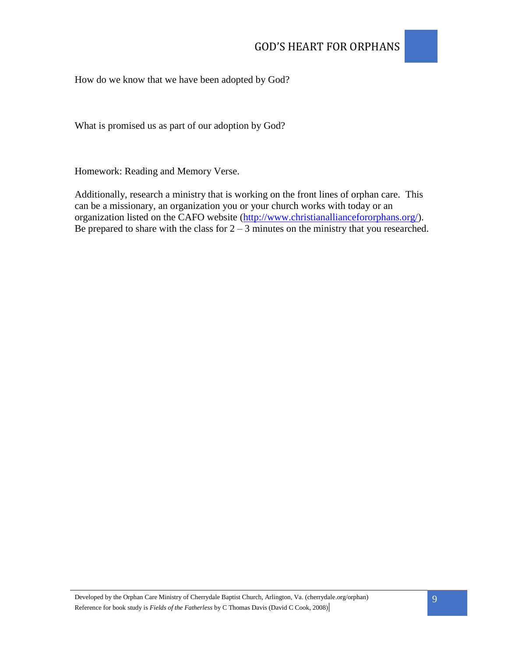

## How do we know that we have been adopted by God?

What is promised us as part of our adoption by God?

Homework: Reading and Memory Verse.

Additionally, research a ministry that is working on the front lines of orphan care. This can be a missionary, an organization you or your church works with today or an organization listed on the CAFO website [\(http://www.christianalliancefororphans.org/\)](http://www.christianalliancefororphans.org/). Be prepared to share with the class for  $2 - 3$  minutes on the ministry that you researched.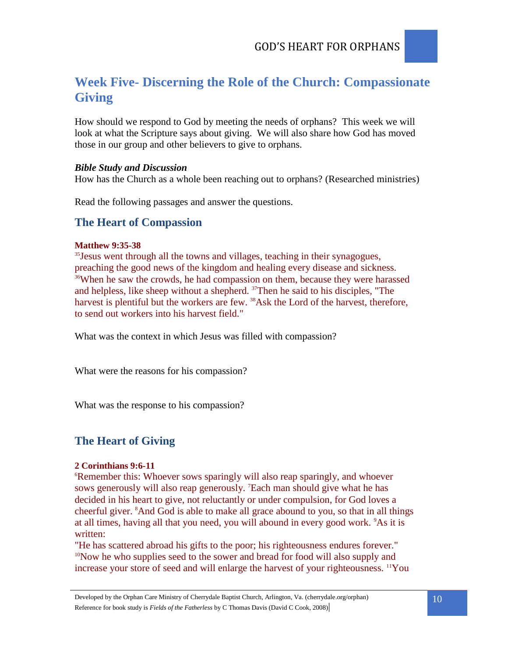# **Week Five- Discerning the Role of the Church: Compassionate Giving**

How should we respond to God by meeting the needs of orphans? This week we will look at what the Scripture says about giving. We will also share how God has moved those in our group and other believers to give to orphans.

### *Bible Study and Discussion*

How has the Church as a whole been reaching out to orphans? (Researched ministries)

Read the following passages and answer the questions.

# **The Heart of Compassion**

### **Matthew 9:35-38**

<sup>35</sup> Jesus went through all the towns and villages, teaching in their synagogues, preaching the good news of the kingdom and healing every disease and sickness. <sup>36</sup>When he saw the crowds, he had compassion on them, because they were harassed and helpless, like sheep without a shepherd. <sup>37</sup>Then he said to his disciples, "The harvest is plentiful but the workers are few. <sup>38</sup>Ask the Lord of the harvest, therefore, to send out workers into his harvest field."

What was the context in which Jesus was filled with compassion?

What were the reasons for his compassion?

What was the response to his compassion?

# **The Heart of Giving**

### **2 Corinthians 9:6-11**

<sup>6</sup>Remember this: Whoever sows sparingly will also reap sparingly, and whoever sows generously will also reap generously. <sup>7</sup>Each man should give what he has decided in his heart to give, not reluctantly or under compulsion, for God loves a cheerful giver. <sup>8</sup>And God is able to make all grace abound to you, so that in all things at all times, having all that you need, you will abound in every good work. <sup>9</sup>As it is written:

"He has scattered abroad his gifts to the poor; his righteousness endures forever." <sup>10</sup>Now he who supplies seed to the sower and bread for food will also supply and increase your store of seed and will enlarge the harvest of your righteousness. 11You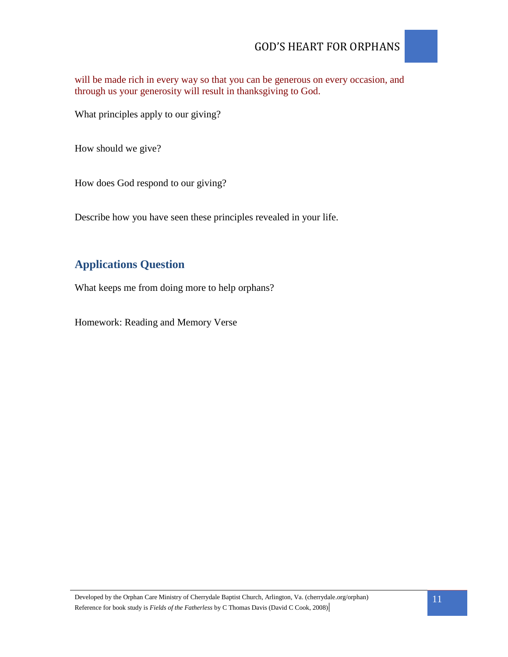# GOD'S HEART FOR ORPHANS

will be made rich in every way so that you can be generous on every occasion, and through us your generosity will result in thanksgiving to God.

What principles apply to our giving?

How should we give?

How does God respond to our giving?

Describe how you have seen these principles revealed in your life.

# **Applications Question**

What keeps me from doing more to help orphans?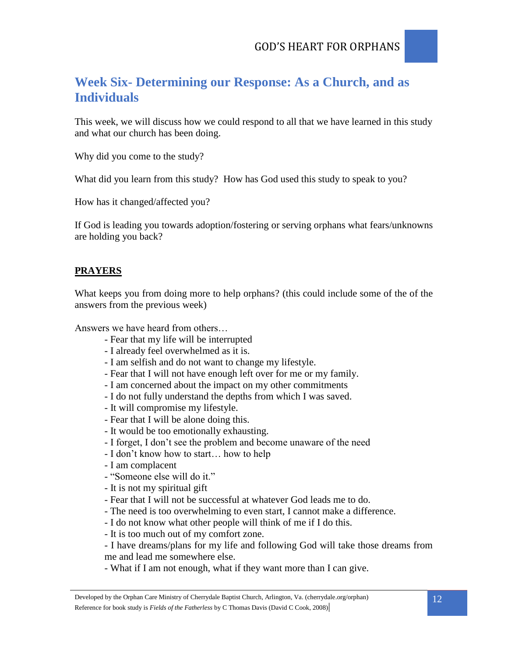

This week, we will discuss how we could respond to all that we have learned in this study and what our church has been doing.

Why did you come to the study?

What did you learn from this study? How has God used this study to speak to you?

How has it changed/affected you?

If God is leading you towards adoption/fostering or serving orphans what fears/unknowns are holding you back?

# **PRAYERS**

What keeps you from doing more to help orphans? (this could include some of the of the answers from the previous week)

Answers we have heard from others…

- Fear that my life will be interrupted
- I already feel overwhelmed as it is.
- I am selfish and do not want to change my lifestyle.
- Fear that I will not have enough left over for me or my family.
- I am concerned about the impact on my other commitments
- I do not fully understand the depths from which I was saved.
- It will compromise my lifestyle.
- Fear that I will be alone doing this.
- It would be too emotionally exhausting.
- I forget, I don't see the problem and become unaware of the need
- I don't know how to start… how to help
- I am complacent
- "Someone else will do it."
- It is not my spiritual gift
- Fear that I will not be successful at whatever God leads me to do.
- The need is too overwhelming to even start, I cannot make a difference.
- I do not know what other people will think of me if I do this.
- It is too much out of my comfort zone.

- I have dreams/plans for my life and following God will take those dreams from me and lead me somewhere else.

- What if I am not enough, what if they want more than I can give.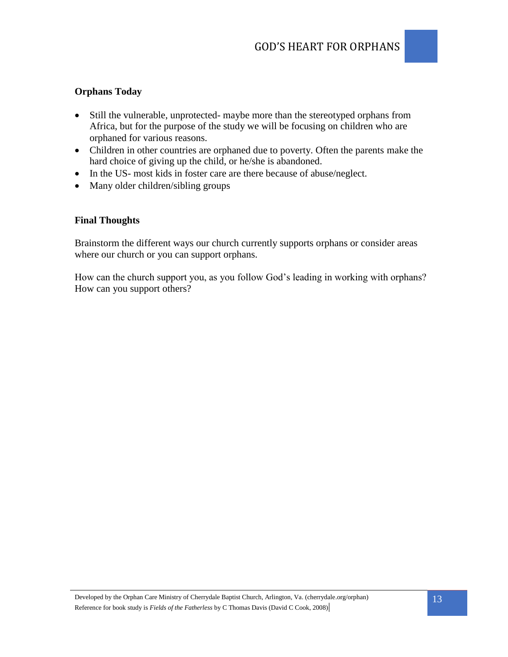# **Orphans Today**

- Still the vulnerable, unprotected- maybe more than the stereotyped orphans from Africa, but for the purpose of the study we will be focusing on children who are orphaned for various reasons.
- Children in other countries are orphaned due to poverty. Often the parents make the hard choice of giving up the child, or he/she is abandoned.
- In the US- most kids in foster care are there because of abuse/neglect.
- Many older children/sibling groups

## **Final Thoughts**

Brainstorm the different ways our church currently supports orphans or consider areas where our church or you can support orphans.

How can the church support you, as you follow God's leading in working with orphans? How can you support others?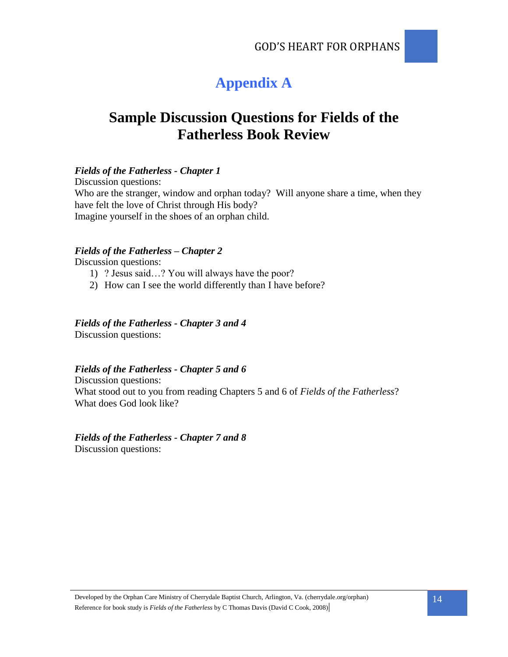# **Appendix A**

# **Sample Discussion Questions for Fields of the Fatherless Book Review**

## *Fields of the Fatherless - Chapter 1*

Discussion questions: Who are the stranger, window and orphan today? Will anyone share a time, when they have felt the love of Christ through His body? Imagine yourself in the shoes of an orphan child.

## *Fields of the Fatherless – Chapter 2*

Discussion questions:

- 1) ? Jesus said…? You will always have the poor?
- 2) How can I see the world differently than I have before?

### *Fields of the Fatherless - Chapter 3 and 4*

Discussion questions:

## *Fields of the Fatherless - Chapter 5 and 6*

Discussion questions: What stood out to you from reading Chapters 5 and 6 of *Fields of the Fatherless*? What does God look like?

## *Fields of the Fatherless - Chapter 7 and 8*

Discussion questions: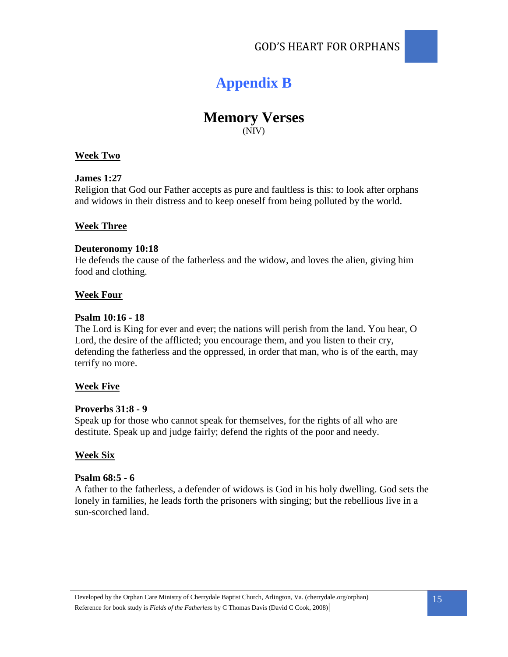

# **Memory Verses** (NIV)

### **Week Two**

### **James 1:27**

Religion that God our Father accepts as pure and faultless is this: to look after orphans and widows in their distress and to keep oneself from being polluted by the world.

### **Week Three**

### **Deuteronomy 10:18**

He defends the cause of the fatherless and the widow, and loves the alien, giving him food and clothing.

### **Week Four**

### **Psalm 10:16 - 18**

The Lord is King for ever and ever; the nations will perish from the land. You hear, O Lord, the desire of the afflicted; you encourage them, and you listen to their cry, defending the fatherless and the oppressed, in order that man, who is of the earth, may terrify no more.

## **Week Five**

### **Proverbs 31:8 - 9**

Speak up for those who cannot speak for themselves, for the rights of all who are destitute. Speak up and judge fairly; defend the rights of the poor and needy.

### **Week Six**

### **Psalm 68:5 - 6**

A father to the fatherless, a defender of widows is God in his holy dwelling. God sets the lonely in families, he leads forth the prisoners with singing; but the rebellious live in a sun-scorched land.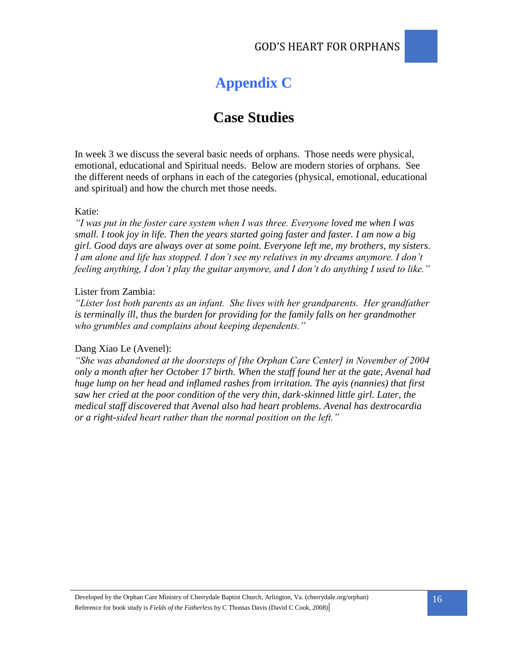# **Appendix C**

# **Case Studies**

In week 3 we discuss the several basic needs of orphans. Those needs were physical, emotional, educational and Spiritual needs. Below are modern stories of orphans. See the different needs of orphans in each of the categories (physical, emotional, educational and spiritual) and how the church met those needs.

### Katie:

*"I was put in the foster care system when I was three. Everyone loved me when I was small. I took joy in life. Then the years started going faster and faster. I am now a big girl. Good days are always over at some point. Everyone left me, my brothers, my sisters. I am alone and life has stopped. I don't see my relatives in my dreams anymore. I don't feeling anything, I don't play the guitar anymore, and I don't do anything I used to like."*

### Lister from Zambia:

*"Lister lost both parents as an infant. She lives with her grandparents. Her grandfather is terminally ill, thus the burden for providing for the family falls on her grandmother who grumbles and complains about keeping dependents."*

#### Dang Xiao Le (Avenel):

*"She was abandoned at the doorsteps of [the Orphan Care Center] in November of 2004 only a month after her October 17 birth. When the staff found her at the gate, Avenal had huge lump on her head and inflamed rashes from irritation. The ayis (nannies) that first saw her cried at the poor condition of the very thin, dark-skinned little girl. Later, the medical staff discovered that Avenal also had heart problems. Avenal has dextrocardia or a right-sided heart rather than the normal position on the left."*